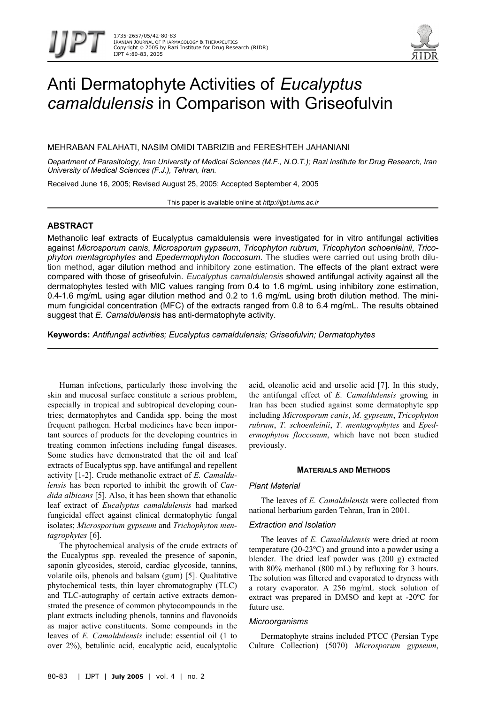

# Anti Dermatophyte Activities of *Eucalyptus camaldulensis* in Comparison with Griseofulvin

MEHRABAN FALAHATI, NASIM OMIDI TABRIZIB and FERESHTEH JAHANIANI

*Department of Parasitology, Iran University of Medical Sciences (M.F., N.O.T.); Razi Institute for Drug Research, Iran University of Medical Sciences (F.J.), Tehran, Iran.* 

Received June 16, 2005; Revised August 25, 2005; Accepted September 4, 2005

This paper is available online at *http://ijpt.iums.ac.ir*

# **ABSTRACT**

Methanolic leaf extracts of Eucalyptus camaldulensis were investigated for in vitro antifungal activities against *Microsporum canis*, *Microsporum gypseum*, *Tricophyton rubrum*, *Tricophyton schoenleinii*, *Tricophyton mentagrophytes* and *Epedermophyton floccosum*. The studies were carried out using broth dilution method, agar dilution method and inhibitory zone estimation. The effects of the plant extract were compared with those of griseofulvin. *Eucalyptus camaldulensis* showed antifungal activity against all the dermatophytes tested with MIC values ranging from 0.4 to 1.6 mg/mL using inhibitory zone estimation, 0.4-1.6 mg/mL using agar dilution method and 0.2 to 1.6 mg/mL using broth dilution method. The minimum fungicidal concentration (MFC) of the extracts ranged from 0.8 to 6.4 mg/mL. The results obtained suggest that *E. Camaldulensis* has anti-dermatophyte activity.

**Keywords:** *Antifungal activities; Eucalyptus camaldulensis; Griseofulvin; Dermatophytes*

Human infections, particularly those involving the skin and mucosal surface constitute a serious problem, especially in tropical and subtropical developing countries; dermatophytes and Candida spp. being the most frequent pathogen. Herbal medicines have been important sources of products for the developing countries in treating common infections including fungal diseases. Some studies have demonstrated that the oil and leaf extracts of Eucalyptus spp. have antifungal and repellent activity [1-2]. Crude methanolic extract of *E. Camaldulensis* has been reported to inhibit the growth of *Candida albicans* [5]. Also, it has been shown that ethanolic leaf extract of *Eucalyptus camaldulensis* had marked fungicidal effect against clinical dermatophytic fungal isolates; *Microsporium gypseum* and *Trichophyton men*tagrophytes [6].

The phytochemical analysis of the crude extracts of the Eucalyptus spp. revealed the presence of saponin, saponin glycosides, steroid, cardiac glycoside, tannins, volatile oils, phenols and balsam (gum) [5]. Qualitative phytochemical tests, thin layer chromatography (TLC) and TLC-autography of certain active extracts demonstrated the presence of common phytocompounds in the plant extracts including phenols, tannins and flavonoids as major active constituents. Some compounds in the leaves of *E. Camaldulensis* include: essential oil (1 to over 2%), betulinic acid, eucalyptic acid, eucalyptolic acid, oleanolic acid and ursolic acid [\[ 7](#page-3-4)]. In this study, the antifungal effect of *E. Camaldulensis* growing in Iran has been studied against some dermatophyte spp including *Microsporum canis*, *M. gypseum*, *Tricophyton rubrum*, *T. schoenleinii*, *T. mentagrophytes* and *Epedermophyton floccosum*, which have not been studied previously.

# **MATERIALS AND METHODS**

# *Plant Material*

The leaves of *E. Camaldulensis* were collected from national herbarium garden Tehran, Iran in 2001.

# *Extraction and Isolation*

The leaves of *E. Camaldulensis* were dried at room temperature (20-23ºC) and ground into a powder using a blender. The dried leaf powder was (200 g) extracted with 80% methanol (800 mL) by refluxing for 3 hours. The solution was filtered and evaporated to dryness with a rotary evaporator. A 256 mg/mL stock solution of extract was prepared in DMSO and kept at -20ºC for future use.

# *Microorganisms*

Dermatophyte strains included PTCC (Persian Type Culture Collection) (5070) *Microsporum gypseum*,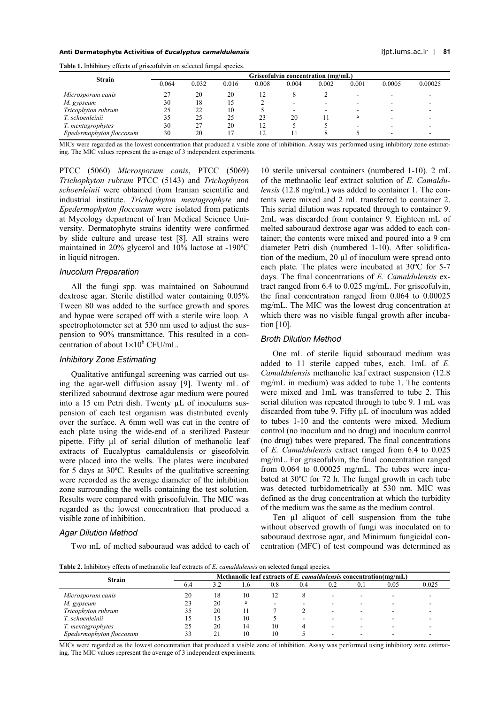#### **Anti Dermatophyte Activities of** *Eucalyptus camaldulensis* ijpt.iums.ac.ir | **81**

| <b>Strain</b>            | Griseofulvin concentration (mg/mL) |       |       |       |       |       |       |        |         |
|--------------------------|------------------------------------|-------|-------|-------|-------|-------|-------|--------|---------|
|                          | 0.064                              | 0.032 | 0.016 | 0.008 | 0.004 | 0.002 | 0.001 | 0.0005 | 0.00025 |
| Microsporum canis        |                                    | 20    | 20    |       |       |       |       |        |         |
| M. gypseum               | 30                                 | 18    |       |       |       |       |       |        |         |
| Tricophyton rubrum       |                                    |       | 10    |       |       |       |       |        |         |
| T. schoenleinii          | 35                                 | 25    | 25    | 23    | 20    |       | ٥     |        |         |
| T. mentagrophytes        | 30                                 |       | 20    |       |       |       |       |        |         |
| Epedermophyton floccosum | 30                                 | 20    |       |       |       |       |       |        |         |

<span id="page-1-0"></span>**Table 1.** Inhibitory effects of griseofulvin on selected fungal species.

MICs were regarded as the lowest concentration that produced a visible zone of inhibition. Assay was performed using inhibitory zone estimating. The MIC values represent the average of 3 independent experiments.

PTCC (5060) *Microsporum canis*, PTCC (5069) *Trichophyton rubrum* PTCC (5143) and *Trichophyton schoenleinii* were obtained from Iranian scientific and industrial institute. *Trichophyton mentagrophyte* and *Epedermophyton floccosum* were isolated from patients at Mycology department of Iran Medical Science University. Dermatophyte strains identity were confirmed by slide culture and urease test [[8\]](#page-3-5). All strains were maintained in 20% glycerol and 10% lactose at -190ºC in liquid nitrogen.

## *Inucolum Preparation*

All the fungi spp. was maintained on Sabouraud dextrose agar. Sterile distilled water containing 0.05% Tween 80 was added to the surface growth and spores and hypae were scraped off with a sterile wire loop. A spectrophotometer set at 530 nm used to adjust the suspension to 90% transmittance. This resulted in a concentration of about  $1 \times 10^6$  CFU/mL.

# *Inhibitory Zone Estimating*

Qualitative antifungal screening was carried out using the agar-well diffusion assay [9]. Twenty mL of sterilized sabouraud dextrose agar medium were poured into a 15 cm Petri dish. Twenty µL of inoculums suspension of each test organism was distributed evenly over the surface. A 6mm well was cut in the centre of each plate using the wide-end of a sterilized Pasteur pipette. Fifty ul of serial dilution of methanolic leaf extracts of Eucalyptus camaldulensis or giseofolvin were placed into the wells. The plates were incubated for 5 days at 30ºC. Results of the qualitative screening were recorded as the average diameter of the inhibition zone surrounding the wells containing the test solution. Results were compared with griseofulvin. The MIC was regarded as the lowest concentration that produced a visible zone of inhibition.

#### *Agar Dilution Method*

Two mL of melted sabouraud was added to each of

10 sterile universal containers (numbered 1-10). 2 mL of the methnaolic leaf extract solution of *E. Camaldulensis* (12.8 mg/mL) was added to container 1. The contents were mixed and 2 mL transferred to container 2. This serial dilution was repeated through to container 9. 2mL was discarded from container 9. Eighteen mL of melted sabouraud dextrose agar was added to each container; the contents were mixed and poured into a 9 cm diameter Petri dish (numbered 1-10). After solidification of the medium, 20 µl of inoculum were spread onto each plate. The plates were incubated at 30ºC for 5-7 days. The final concentrations of *E. Camaldulensis* extract ranged from 6.4 to 0.025 mg/mL. For griseofulvin, the final concentration ranged from 0.064 to 0.00025 mg/mL. The MIC was the lowest drug concentration at which there was no visible fungal growth after incubation  $[10]$ .

#### *Broth Dilution Method*

One mL of sterile liquid sabouraud medium was added to 11 sterile capped tubes, each. 1mL of *E. Camaldulensis* methanolic leaf extract suspension (12.8 mg/mL in medium) was added to tube 1. The contents were mixed and 1mL was transferred to tube 2. This serial dilution was repeated through to tube 9. 1 mL was discarded from tube 9. Fifty µL of inoculum was added to tubes 1-10 and the contents were mixed. Medium control (no inoculum and no drug) and inoculum control (no drug) tubes were prepared. The final concentrations of *E. Camaldulensis* extract ranged from 6.4 to 0.025 mg/mL. For griseofulvin, the final concentration ranged from 0.064 to 0.00025 mg/mL. The tubes were incubated at 30ºC for 72 h. The fungal growth in each tube was detected turbidometrically at 530 nm. MIC was defined as the drug concentration at which the turbidity of the medium was the same as the medium control.

Ten ul aliquot of cell suspension from the tube without observed growth of fungi was inoculated on to sabouraud dextrose agar, and Minimum fungicidal concentration (MFC) of test compound was determined as

<span id="page-1-1"></span>**Table 2.** Inhibitory effects of methanolic leaf extracts of *E. camaldulensis* on selected fungal species.

| <b>Strain</b>            | Methanolic leaf extracts of $E$ . camaldulensis concentration(mg/mL) |     |               |     |     |     |     |      |       |
|--------------------------|----------------------------------------------------------------------|-----|---------------|-----|-----|-----|-----|------|-------|
|                          | 6.4                                                                  | 3.2 | $1.6^{\circ}$ | 0.8 | 0.4 | 0.2 | 0.1 | 0.05 | 0.025 |
| Microsporum canis        | 20                                                                   | 18  | 10            |     |     |     |     |      |       |
| M. gypseum               |                                                                      | 20  |               |     |     |     |     |      |       |
| Tricophyton rubrum       |                                                                      | 20  |               |     |     |     |     |      |       |
| T. schoenleinii          |                                                                      | 15  | 10            |     |     |     |     |      |       |
| T. mentagrophytes        |                                                                      | 20  | 14            | 10  |     |     |     |      |       |
| Epedermophyton floccosum | 33                                                                   | 21  |               |     |     |     |     |      |       |

MICs were regarded as the lowest concentration that produced a visible zone of inhibition. Assay was performed using inhibitory zone estimating. The MIC values represent the average of 3 independent experiments.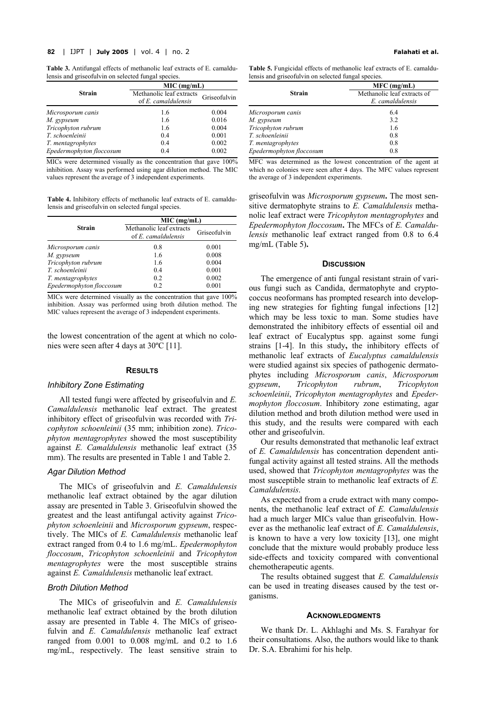#### **82** | IJPT | **July 2005** | vol. 4 | no. 2**Falahati et al.**

<span id="page-2-0"></span>**Table 3.** Antifungal effects of methanolic leaf extracts of E. camaldulensis and griseofulvin on selected fungal species.

|                          | MIC (mg/mL)              |              |  |  |  |
|--------------------------|--------------------------|--------------|--|--|--|
| <b>Strain</b>            | Methanolic leaf extracts | Griseofulvin |  |  |  |
|                          | $of E. \ can addulensis$ |              |  |  |  |
| Microsporum canis        | 1.6                      | 0.004        |  |  |  |
| M. gypseum               | 1.6                      | 0.016        |  |  |  |
| Tricophyton rubrum       | 1.6                      | 0.004        |  |  |  |
| T. schoenleinii          | 0.4                      | 0.001        |  |  |  |
| T. mentagrophytes        | 0.4                      | 0.002        |  |  |  |
| Epedermophyton floccosum | 0.4                      | 0.002        |  |  |  |

MICs were determined visually as the concentration that gave 100% inhibition. Assay was performed using agar dilution method. The MIC values represent the average of 3 independent experiments.

<span id="page-2-1"></span>**Table 4.** Inhibitory effects of methanolic leaf extracts of E. camaldulensis and griseofulvin on selected fungal species.

|                          | MIC (mg/mL)                                     |              |  |  |
|--------------------------|-------------------------------------------------|--------------|--|--|
| <b>Strain</b>            | Methanolic leaf extracts<br>of E. camaldulensis | Griseofulvin |  |  |
| Microsporum canis        | 0.8                                             | 0.001        |  |  |
| M. gypseum               | 1.6                                             | 0.008        |  |  |
| Tricophyton rubrum       | 1.6                                             | 0.004        |  |  |
| T. schoenleinii          | 0.4                                             | 0.001        |  |  |
| T. mentagrophytes        | 0.2                                             | 0.002        |  |  |
| Epedermophyton floccosum | 0.2                                             | 0.001        |  |  |

MICs were determined visually as the concentration that gave 100% inhibition. Assay was performed using broth dilution method. The MIC values represent the average of 3 independent experiments.

the lowest concentration of the agent at which no colonies were seen after 4 days at 30ºC [ [11\]](#page-3-8).

#### **RESULTS**

#### *Inhibitory Zone Estimating*

All tested fungi were affected by griseofulvin and *E. Camaldulensis* methanolic leaf extract. The greatest inhibitory effect of griseofulvin was recorded with *Tricophyton schoenleinii* (35 mm; inhibition zone). *Tricophyton mentagrophytes* showed the most susceptibility against *E. Camaldulensis* methanolic leaf extract (35 mm). The results are presented in [Table 1](#page-1-0) and [Table 2](#page-1-1).

## *Agar Dilution Method*

The MICs of griseofulvin and *E. Camaldulensis* methanolic leaf extract obtained by the agar dilution assay are presented in [Table 3.](#page-2-0) Griseofulvin showed the greatest and the least antifungal activity against *Tricophyton schoenleinii* and *Microsporum gypseum*, respectively. The MICs of *E. Camaldulensis* methanolic leaf extract ranged from 0.4 to 1.6 mg/mL. *Epedermophyton floccosum*, *Tricophyton schoenleinii* and *Tricophyton mentagrophytes* were the most susceptible strains against *E. Camaldulensis* methanolic leaf extract.

#### *Broth Dilution Method*

The MICs of griseofulvin and *E. Camaldulensis* methanolic leaf extract obtained by the broth dilution assay are presented in [Table 4.](#page-2-1) The MICs of griseofulvin and *E. Camaldulensis* methanolic leaf extract ranged from 0.001 to 0.008 mg/mL and 0.2 to 1.6 mg/mL, respectively. The least sensitive strain to

**Table 5.** Fungicidal effects of methanolic leaf extracts of E. camaldulensis and griseofulvin on selected fungal species.

|                          | $MFC$ (mg/mL)               |  |  |
|--------------------------|-----------------------------|--|--|
| <b>Strain</b>            | Methanolic leaf extracts of |  |  |
|                          | E. camaldulensis            |  |  |
| Microsporum canis        | 6.4                         |  |  |
| M. gypseum               | 3.2                         |  |  |
| Tricophyton rubrum       | 1.6                         |  |  |
| T. schoenleinii          | 0.8                         |  |  |
| T. mentagrophytes        | 0.8                         |  |  |
| Epedermophyton floccosum | 0.8                         |  |  |

MFC was determined as the lowest concentration of the agent at which no colonies were seen after 4 days. The MFC values represent the average of 3 independent experiments.

griseofulvin was *Microsporum gypseum***.** The most sensitive dermatophyte strains to *E. Camaldulensis* methanolic leaf extract were *Tricophyton mentagrophytes* and *Epedermophyton floccosum***.** The MFCs of *E. Camaldulensis* methanolic leaf extract ranged from 0.8 to 6.4 mg/mL ([Table 5](#page-2-0))**.** 

# **DISCUSSION**

The emergence of anti fungal resistant strain of various fungi such as Candida, dermatophyte and cryptococcus neoformans has prompted research into developing new strategies for fighting fungal infections [\[ 12](#page-3-9)] which may be less toxic to man. Some studies have demonstrated the inhibitory effects of essential oil and leaf extract of Eucalyptus spp. against some fungi strains [1-4]. In this study, the inhibitory effects of methanolic leaf extracts of *Eucalyptus camaldulensis* were studied against six species of pathogenic dermatophytes including *Microsporum canis*, *Microsporum gypseum*, *Tricophyton rubrum*, *Tricophyton schoenleinii*, *Tricophyton mentagrophytes* and *Epedermophyton floccosum*. Inhibitory zone estimating, agar dilution method and broth dilution method were used in this study, and the results were compared with each other and griseofulvin.

Our results demonstrated that methanolic leaf extract of *E. Camaldulensis* has concentration dependent antifungal activity against all tested strains. All the methods used, showed that *Tricophyton mentagrophytes* was the most susceptible strain to methanolic leaf extracts of *E. Camaldulensis*.

As expected from a crude extract with many components, the methanolic leaf extract of *E. Camaldulensis* had a much larger MICs value than griseofulvin. However as the methanolic leaf extract of *E. Camaldulensis*, is known to have a very low toxicity  $[13]$ , one might conclude that the mixture would probably produce less side-effects and toxicity compared with conventional chemotherapeutic agents.

The results obtained suggest that *E. Camaldulensis* can be used in treating diseases caused by the test organisms.

#### **ACKNOWLEDGMENTS**

We thank Dr. L. Akhlaghi and Ms. S. Farahyar for their consultations. Also, the authors would like to thank Dr. S.A. Ebrahimi for his help.